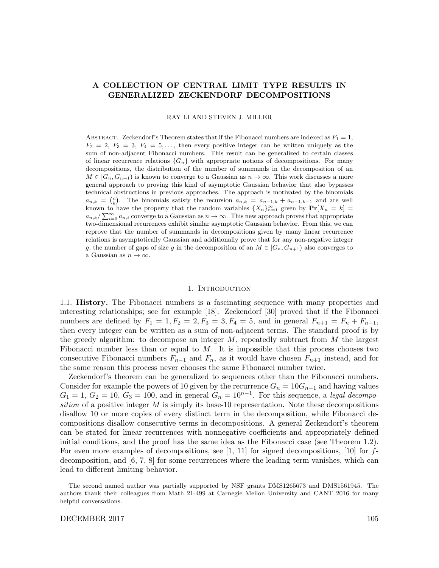# A COLLECTION OF CENTRAL LIMIT TYPE RESULTS IN GENERALIZED ZECKENDORF DECOMPOSITIONS

RAY LI AND STEVEN J. MILLER

ABSTRACT. Zeckendorf's Theorem states that if the Fibonacci numbers are indexed as  $F_1 = 1$ ,  $F_2 = 2, F_3 = 3, F_4 = 5, \ldots$ , then every positive integer can be written uniquely as the sum of non-adjacent Fibonacci numbers. This result can be generalized to certain classes of linear recurrence relations  ${G_n}$  with appropriate notions of decompositions. For many decompositions, the distribution of the number of summands in the decomposition of an  $M \in [G_n, G_{n+1})$  is known to converge to a Gaussian as  $n \to \infty$ . This work discusses a more general approach to proving this kind of asymptotic Gaussian behavior that also bypasses technical obstructions in previous approaches. The approach is motivated by the binomials  $a_{n,k} = \binom{n}{k}$ . The binomials satisfy the recursion  $a_{n,k} = a_{n-1,k} + a_{n-1,k-1}$  and are well known to have the property that the random variables  $\{X_n\}_{n=1}^{\infty}$  given by  $Pr[X_n = k]$  $a_{n,k}/\sum_{i=0}^{\infty} a_{n,i}$  converge to a Gaussian as  $n \to \infty$ . This new approach proves that appropriate two-dimensional recurrences exhibit similar asymptotic Gaussian behavior. From this, we can reprove that the number of summands in decompositions given by many linear recurrence relations is asymptotically Gaussian and additionally prove that for any non-negative integer g, the number of gaps of size g in the decomposition of an  $M \in [G_n, G_{n+1})$  also converges to a Gaussian as  $n \to \infty$ .

# 1. INTRODUCTION

1.1. History. The Fibonacci numbers is a fascinating sequence with many properties and interesting relationships; see for example [18]. Zeckendorf [30] proved that if the Fibonacci numbers are defined by  $F_1 = 1, F_2 = 2, F_3 = 3, F_4 = 5$ , and in general  $F_{n+1} = F_n + F_{n-1}$ , then every integer can be written as a sum of non-adjacent terms. The standard proof is by the greedy algorithm: to decompose an integer  $M$ , repeatedly subtract from  $M$  the largest Fibonacci number less than or equal to  $M$ . It is impossible that this process chooses two consecutive Fibonacci numbers  $F_{n-1}$  and  $F_n$ , as it would have chosen  $F_{n+1}$  instead, and for the same reason this process never chooses the same Fibonacci number twice.

Zeckendorf's theorem can be generalized to sequences other than the Fibonacci numbers. Consider for example the powers of 10 given by the recurrence  $G_n = 10G_{n-1}$  and having values  $G_1 = 1, G_2 = 10, G_3 = 100$ , and in general  $G_n = 10^{n-1}$ . For this sequence, a legal decomposition of a positive integer  $M$  is simply its base-10 representation. Note these decompositions disallow 10 or more copies of every distinct term in the decomposition, while Fibonacci decompositions disallow consecutive terms in decompositions. A general Zeckendorf's theorem can be stated for linear recurrences with nonnegative coefficients and appropriately defined initial conditions, and the proof has the same idea as the Fibonacci case (see Theorem 1.2). For even more examples of decompositions, see  $[1, 11]$  for signed decompositions,  $[10]$  for fdecomposition, and [6, 7, 8] for some recurrences where the leading term vanishes, which can lead to different limiting behavior.

The second named author was partially supported by NSF grants DMS1265673 and DMS1561945. The authors thank their colleagues from Math 21-499 at Carnegie Mellon University and CANT 2016 for many helpful conversations.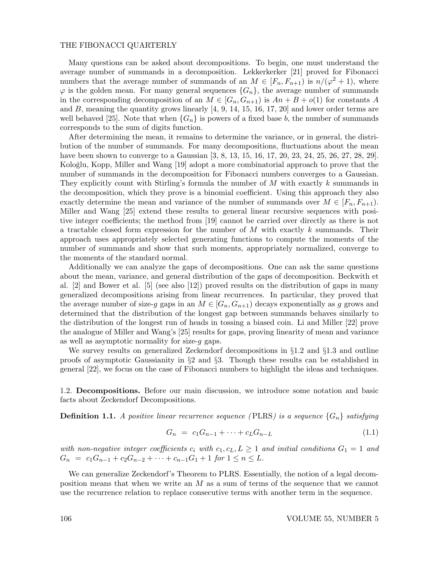Many questions can be asked about decompositions. To begin, one must understand the average number of summands in a decomposition. Lekkerkerker [21] proved for Fibonacci numbers that the average number of summands of an  $M \in [F_n, F_{n+1}]$  is  $n/(\varphi^2 + 1)$ , where  $\varphi$  is the golden mean. For many general sequences  $\{G_n\}$ , the average number of summands in the corresponding decomposition of an  $M \in [G_n, G_{n+1})$  is  $An + B + o(1)$  for constants A and  $B$ , meaning the quantity grows linearly  $[4, 9, 14, 15, 16, 17, 20]$  and lower order terms are well behaved [25]. Note that when  $\{G_n\}$  is powers of a fixed base b, the number of summands corresponds to the sum of digits function.

After determining the mean, it remains to determine the variance, or in general, the distribution of the number of summands. For many decompositions, fluctuations about the mean have been shown to converge to a Gaussian [3, 8, 13, 15, 16, 17, 20, 23, 24, 25, 26, 27, 28, 29]. Koloğlu, Kopp, Miller and Wang [19] adopt a more combinatorial approach to prove that the number of summands in the decomposition for Fibonacci numbers converges to a Gaussian. They explicitly count with Stirling's formula the number of M with exactly k summands in the decomposition, which they prove is a binomial coefficient. Using this approach they also exactly determine the mean and variance of the number of summands over  $M \in [F_n, F_{n+1})$ . Miller and Wang [25] extend these results to general linear recursive sequences with positive integer coefficients; the method from [19] cannot be carried over directly as there is not a tractable closed form expression for the number of M with exactly k summands. Their approach uses appropriately selected generating functions to compute the moments of the number of summands and show that such moments, appropriately normalized, converge to the moments of the standard normal.

Additionally we can analyze the gaps of decompositions. One can ask the same questions about the mean, variance, and general distribution of the gaps of decomposition. Beckwith et al. [2] and Bower et al. [5] (see also [12]) proved results on the distribution of gaps in many generalized decompositions arising from linear recurrences. In particular, they proved that the average number of size-g gaps in an  $M \in [G_n, G_{n+1})$  decays exponentially as g grows and determined that the distribution of the longest gap between summands behaves similarly to the distribution of the longest run of heads in tossing a biased coin. Li and Miller [22] prove the analogue of Miller and Wang's [25] results for gaps, proving linearity of mean and variance as well as asymptotic normality for size-g gaps.

We survey results on generalized Zeckendorf decompositions in  $\S1.2$  and  $\S1.3$  and outline proofs of asymptotic Gaussianity in §2 and §3. Though these results can be established in general [22], we focus on the case of Fibonacci numbers to highlight the ideas and techniques.

1.2. Decompositions. Before our main discussion, we introduce some notation and basic facts about Zeckendorf Decompositions.

**Definition 1.1.** A positive linear recurrence sequence (PLRS) is a sequence  $\{G_n\}$  satisfying

$$
G_n = c_1 G_{n-1} + \dots + c_L G_{n-L} \tag{1.1}
$$

with non-negative integer coefficients  $c_i$  with  $c_1, c_L, L \geq 1$  and initial conditions  $G_1 = 1$  and  $G_n = c_1G_{n-1} + c_2G_{n-2} + \cdots + c_{n-1}G_1 + 1$  for  $1 \le n \le L$ .

We can generalize Zeckendorf's Theorem to PLRS. Essentially, the notion of a legal decomposition means that when we write an M as a sum of terms of the sequence that we cannot use the recurrence relation to replace consecutive terms with another term in the sequence.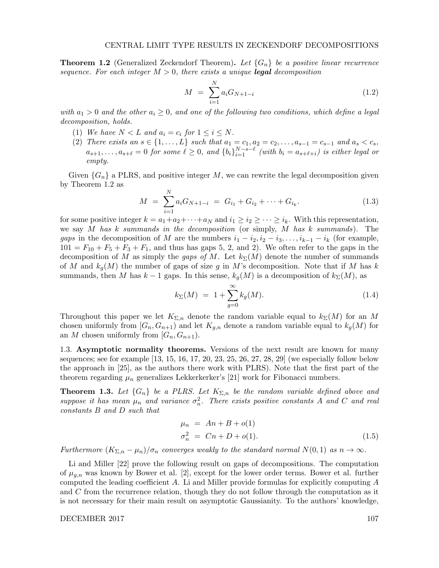**Theorem 1.2** (Generalized Zeckendorf Theorem). Let  $\{G_n\}$  be a positive linear recurrence sequence. For each integer  $M > 0$ , there exists a unique **legal** decomposition

$$
M = \sum_{i=1}^{N} a_i G_{N+1-i} \tag{1.2}
$$

with  $a_1 > 0$  and the other  $a_i \geq 0$ , and one of the following two conditions, which define a legal decomposition, holds.

- (1) We have  $N < L$  and  $a_i = c_i$  for  $1 \leq i \leq N$ .
- (2) There exists an  $s \in \{1, ..., L\}$  such that  $a_1 = c_1, a_2 = c_2, ..., a_{s-1} = c_{s-1}$  and  $a_s < c_s$ ,  $a_{s+1}, \ldots, a_{s+\ell} = 0$  for some  $\ell \geq 0$ , and  $\{b_i\}_{i=1}^{N-s-\ell}$  (with  $b_i = a_{s+\ell+i}$ ) is either legal or empty.

Given  ${G_n}$  a PLRS, and positive integer M, we can rewrite the legal decomposition given by Theorem 1.2 as

$$
M = \sum_{i=1}^{N} a_i G_{N+1-i} = G_{i_1} + G_{i_2} + \dots + G_{i_k}.
$$
 (1.3)

for some positive integer  $k = a_1 + a_2 + \cdots + a_N$  and  $i_1 \geq i_2 \geq \cdots \geq i_k$ . With this representation, we say  $M$  has k summands in the decomposition (or simply,  $M$  has k summands). The gaps in the decomposition of M are the numbers  $i_1 - i_2, i_2 - i_3, \ldots, i_{k-1} - i_k$  (for example,  $101 = F_{10} + F_5 + F_3 + F_1$ , and thus has gaps 5, 2, and 2). We often refer to the gaps in the decomposition of M as simply the gaps of M. Let  $k_{\Sigma}(M)$  denote the number of summands of M and  $k_q(M)$  the number of gaps of size g in M's decomposition. Note that if M has k summands, then M has  $k-1$  gaps. In this sense,  $k_g(M)$  is a decomposition of  $k_{\Sigma}(M)$ , as

$$
k_{\Sigma}(M) = 1 + \sum_{g=0}^{\infty} k_g(M). \tag{1.4}
$$

Throughout this paper we let  $K_{\Sigma,n}$  denote the random variable equal to  $k_{\Sigma}(M)$  for an M chosen uniformly from  $[G_n, G_{n+1}]$  and let  $K_{g,n}$  denote a random variable equal to  $k_g(M)$  for an M chosen uniformly from  $[G_n, G_{n+1})$ .

1.3. Asymptotic normality theorems. Versions of the next result are known for many sequences; see for example  $[13, 15, 16, 17, 20, 23, 25, 26, 27, 28, 29]$  (we especially follow below the approach in [25], as the authors there work with PLRS). Note that the first part of the theorem regarding  $\mu_n$  generalizes Lekkerkerker's [21] work for Fibonacci numbers.

**Theorem 1.3.** Let  $\{G_n\}$  be a PLRS. Let  $K_{\Sigma,n}$  be the random variable defined above and suppose it has mean  $\mu_n$  and variance  $\sigma_n^2$ . There exists positive constants A and C and real constants B and D such that

$$
\mu_n = An + B + o(1) \n\sigma_n^2 = Cn + D + o(1).
$$
\n(1.5)

Furthermore  $(K_{\Sigma,n} - \mu_n)/\sigma_n$  converges weakly to the standard normal  $N(0, 1)$  as  $n \to \infty$ .

Li and Miller [22] prove the following result on gaps of decompositions. The computation of  $\mu_{q,n}$  was known by Bower et al. [2], except for the lower order terms. Bower et al. further computed the leading coefficient  $A$ . Li and Miller provide formulas for explicitly computing  $A$ and C from the recurrence relation, though they do not follow through the computation as it is not necessary for their main result on asymptotic Gaussianity. To the authors' knowledge,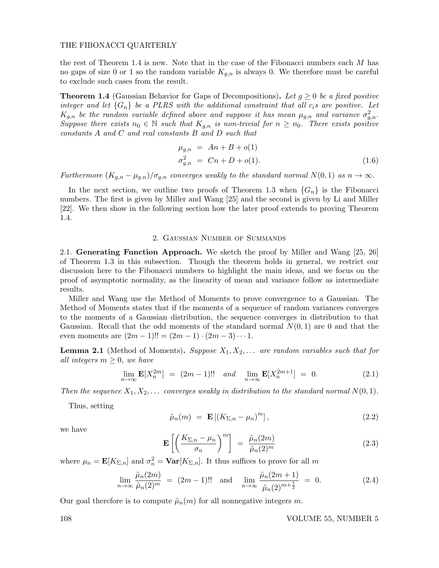the rest of Theorem 1.4 is new. Note that in the case of the Fibonacci numbers each  $M$  has no gaps of size 0 or 1 so the random variable  $K_{g,n}$  is always 0. We therefore must be careful to exclude such cases from the result.

**Theorem 1.4** (Gaussian Behavior for Gaps of Decompositions). Let  $q \geq 0$  be a fixed positive integer and let  $\{G_n\}$  be a PLRS with the additional constraint that all  $c_i$ s are positive. Let  $K_{g,n}$  be the random variable defined above and suppose it has mean  $\mu_{g,n}$  and variance  $\sigma_{g,n}^2$ . Suppose there exists  $n_0 \in \mathbb{N}$  such that  $K_{q,n}$  is non-trivial for  $n \geq n_0$ . There exists positive constants A and C and real constants B and D such that

$$
\mu_{g,n} = An + B + o(1)
$$
  
\n
$$
\sigma_{g,n}^2 = Cn + D + o(1).
$$
\n(1.6)

Furthermore  $(K_{q,n} - \mu_{q,n})/\sigma_{q,n}$  converges weakly to the standard normal  $N(0,1)$  as  $n \to \infty$ .

In the next section, we outline two proofs of Theorem 1.3 when  ${G_n}$  is the Fibonacci numbers. The first is given by Miller and Wang [25] and the second is given by Li and Miller [22]. We then show in the following section how the later proof extends to proving Theorem 1.4.

# 2. Gaussian Number of Summands

2.1. Generating Function Approach. We sketch the proof by Miller and Wang [25, 26] of Theorem 1.3 in this subsection. Though the theorem holds in general, we restrict our discussion here to the Fibonacci numbers to highlight the main ideas, and we focus on the proof of asymptotic normality, as the linearity of mean and variance follow as intermediate results.

Miller and Wang use the Method of Moments to prove convergence to a Gaussian. The Method of Moments states that if the moments of a sequence of random variances converges to the moments of a Gaussian distribution, the sequence converges in distribution to that Gaussian. Recall that the odd moments of the standard normal  $N(0, 1)$  are 0 and that the even moments are  $(2m - 1)!! = (2m - 1) \cdot (2m - 3) \cdots 1$ .

**Lemma 2.1** (Method of Moments). Suppose  $X_1, X_2, \ldots$  are random variables such that for all integers  $m \geq 0$ , we have

$$
\lim_{n \to \infty} \mathbf{E}[X_n^{2m}] = (2m - 1)!! \quad and \quad \lim_{n \to \infty} \mathbf{E}[X_n^{2m+1}] = 0. \tag{2.1}
$$

Then the sequence  $X_1, X_2, \ldots$  converges weakly in distribution to the standard normal  $N(0, 1)$ .

Thus, setting

$$
\tilde{\mu}_n(m) = \mathbf{E} \left[ (K_{\Sigma,n} - \mu_n)^m \right],\tag{2.2}
$$

we have

$$
\mathbf{E}\left[\left(\frac{K_{\Sigma,n}-\mu_n}{\sigma_n}\right)^m\right] = \frac{\tilde{\mu}_n(2m)}{\tilde{\mu}_n(2)^m} \tag{2.3}
$$

where  $\mu_n = \mathbf{E}[K_{\Sigma,n}]$  and  $\sigma_n^2 = \mathbf{Var}[K_{\Sigma,n}]$ . It thus suffices to prove for all m

$$
\lim_{n \to \infty} \frac{\tilde{\mu}_n(2m)}{\tilde{\mu}_n(2)^m} = (2m - 1)!! \text{ and } \lim_{n \to \infty} \frac{\tilde{\mu}_n(2m + 1)}{\tilde{\mu}_n(2)^{m + \frac{1}{2}}} = 0. \tag{2.4}
$$

Our goal therefore is to compute  $\tilde{\mu}_n(m)$  for all nonnegative integers m.

108 VOLUME 55, NUMBER 5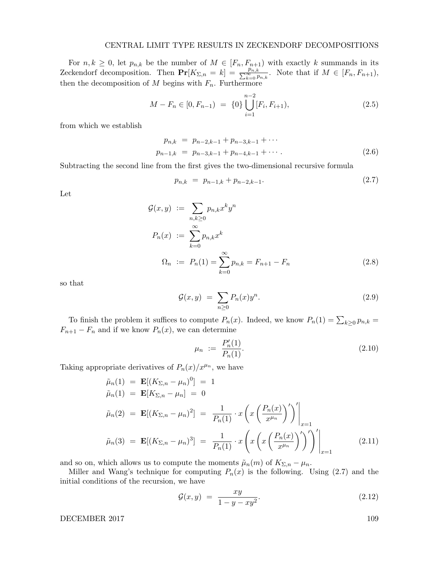# CENTRAL LIMIT TYPE RESULTS IN ZECKENDORF DECOMPOSITIONS

For  $n, k \geq 0$ , let  $p_{n,k}$  be the number of  $M \in [F_n, F_{n+1})$  with exactly k summands in its Zeckendorf decomposition. Then  $\mathbf{Pr}[K_{\Sigma,n} = k] = \frac{p_{n,k}}{\sum_{k=0}^{\infty} p_{n,k}}$ . Note that if  $M \in [F_n, F_{n+1}),$ then the decomposition of  $M$  begins with  $F_n$ . Furthermore

$$
M - F_n \in [0, F_{n-1}) = \{0\} \bigcup_{i=1}^{n-2} [F_i, F_{i+1}), \tag{2.5}
$$

from which we establish

$$
p_{n,k} = p_{n-2,k-1} + p_{n-3,k-1} + \cdots
$$
  
\n
$$
p_{n-1,k} = p_{n-3,k-1} + p_{n-4,k-1} + \cdots
$$
 (2.6)

Subtracting the second line from the first gives the two-dimensional recursive formula

$$
p_{n,k} = p_{n-1,k} + p_{n-2,k-1}.
$$
\n(2.7)

Let

$$
\mathcal{G}(x, y) := \sum_{n,k \geq 0} p_{n,k} x^k y^n
$$
  
\n
$$
P_n(x) := \sum_{k=0}^{\infty} p_{n,k} x^k
$$
  
\n
$$
\Omega_n := P_n(1) = \sum_{k=0}^{\infty} p_{n,k} = F_{n+1} - F_n
$$
\n(2.8)

so that

$$
\mathcal{G}(x,y) = \sum_{n\geq 0} P_n(x) y^n.
$$
\n(2.9)

To finish the problem it suffices to compute  $P_n(x)$ . Indeed, we know  $P_n(1) = \sum_{k \geq 0} p_{n,k} =$  $F_{n+1} - F_n$  and if we know  $P_n(x)$ , we can determine

$$
\mu_n := \frac{P_n'(1)}{P_n(1)}.\tag{2.10}
$$

Taking appropriate derivatives of  $P_n(x)/x^{\mu_n}$ , we have

$$
\tilde{\mu}_n(1) = \mathbf{E}[(K_{\Sigma,n} - \mu_n)^0] = 1 \n\tilde{\mu}_n(1) = \mathbf{E}[K_{\Sigma,n} - \mu_n] = 0 \n\tilde{\mu}_n(2) = \mathbf{E}[(K_{\Sigma,n} - \mu_n)^2] = \frac{1}{P_n(1)} \cdot x \left( x \left( \frac{P_n(x)}{x^{\mu_n}} \right)' \right)' \Big|_{x=1} \n\tilde{\mu}_n(3) = \mathbf{E}[(K_{\Sigma,n} - \mu_n)^3] = \frac{1}{P_n(1)} \cdot x \left( x \left( \frac{P_n(x)}{x^{\mu_n}} \right)' \right)' \Big|_{x=1}
$$
\n(2.11)

and so on, which allows us to compute the moments  $\tilde{\mu}_n(m)$  of  $K_{\Sigma,n} - \mu_n$ .

Miller and Wang's technique for computing  $P_n(x)$  is the following. Using (2.7) and the initial conditions of the recursion, we have

$$
\mathcal{G}(x,y) = \frac{xy}{1-y-xy^2}.\tag{2.12}
$$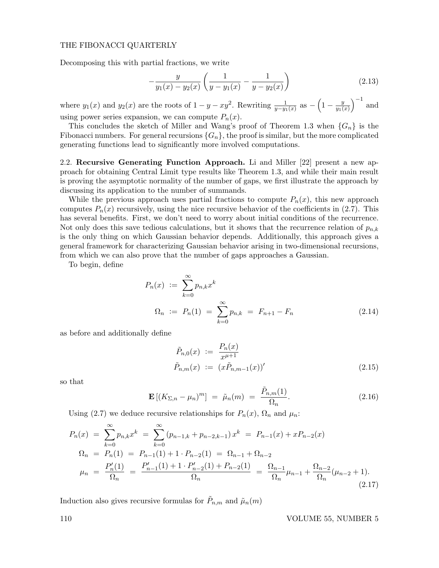Decomposing this with partial fractions, we write

$$
-\frac{y}{y_1(x) - y_2(x)} \left( \frac{1}{y - y_1(x)} - \frac{1}{y - y_2(x)} \right)
$$
\n(2.13)

where  $y_1(x)$  and  $y_2(x)$  are the roots of  $1 - y - xy^2$ . Rewriting  $\frac{1}{y - y_1(x)}$  as  $-\left(1 - \frac{y}{y_1(x)}\right)$  $y_1(x)$  $\big)^{-1}$  and using power series expansion, we can compute  $P_n(x)$ .

This concludes the sketch of Miller and Wang's proof of Theorem 1.3 when  $\{G_n\}$  is the Fibonacci numbers. For general recursions  $\{G_n\}$ , the proof is similar, but the more complicated generating functions lead to significantly more involved computations.

2.2. Recursive Generating Function Approach. Li and Miller [22] present a new approach for obtaining Central Limit type results like Theorem 1.3, and while their main result is proving the asymptotic normality of the number of gaps, we first illustrate the approach by discussing its application to the number of summands.

While the previous approach uses partial fractions to compute  $P_n(x)$ , this new approach computes  $P_n(x)$  recursively, using the nice recursive behavior of the coefficients in (2.7). This has several benefits. First, we don't need to worry about initial conditions of the recurrence. Not only does this save tedious calculations, but it shows that the recurrence relation of  $p_{n,k}$ is the only thing on which Gaussian behavior depends. Additionally, this approach gives a general framework for characterizing Gaussian behavior arising in two-dimensional recursions, from which we can also prove that the number of gaps approaches a Gaussian.

To begin, define

$$
P_n(x) := \sum_{k=0}^{\infty} p_{n,k} x^k
$$
  

$$
\Omega_n := P_n(1) = \sum_{k=0}^{\infty} p_{n,k} = F_{n+1} - F_n
$$
 (2.14)

as before and additionally define

$$
\tilde{P}_{n,0}(x) := \frac{P_n(x)}{x^{\mu+1}} \n\tilde{P}_{n,m}(x) := (x\tilde{P}_{n,m-1}(x))'
$$
\n(2.15)

so that

$$
\mathbf{E}\left[ (K_{\Sigma,n} - \mu_n)^m \right] = \tilde{\mu}_n(m) = \frac{\tilde{P}_{n,m}(1)}{\Omega_n}.
$$
 (2.16)

Using (2.7) we deduce recursive relationships for  $P_n(x)$ ,  $\Omega_n$  and  $\mu_n$ :

$$
P_n(x) = \sum_{k=0}^{\infty} p_{n,k} x^k = \sum_{k=0}^{\infty} (p_{n-1,k} + p_{n-2,k-1}) x^k = P_{n-1}(x) + x P_{n-2}(x)
$$
  
\n
$$
\Omega_n = P_n(1) = P_{n-1}(1) + 1 \cdot P_{n-2}(1) = \Omega_{n-1} + \Omega_{n-2}
$$
  
\n
$$
\mu_n = \frac{P_n'(1)}{\Omega_n} = \frac{P_{n-1}'(1) + 1 \cdot P_{n-2}'(1) + P_{n-2}(1)}{\Omega_n} = \frac{\Omega_{n-1}}{\Omega_n} \mu_{n-1} + \frac{\Omega_{n-2}}{\Omega_n} (\mu_{n-2} + 1).
$$
\n(2.17)

Induction also gives recursive formulas for  $\tilde{P}_{n,m}$  and  $\tilde{\mu}_n(m)$ 

110 VOLUME 55, NUMBER 5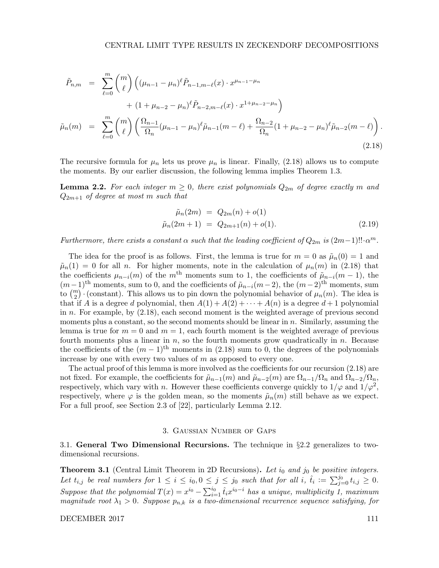$$
\tilde{P}_{n,m} = \sum_{\ell=0}^{m} {m \choose \ell} \left( (\mu_{n-1} - \mu_n)^{\ell} \tilde{P}_{n-1,m-\ell}(x) \cdot x^{\mu_{n-1}-\mu_n} \right. \n+ (1 + \mu_{n-2} - \mu_n)^{\ell} \tilde{P}_{n-2,m-\ell}(x) \cdot x^{1+\mu_{n-2}-\mu_n} \right) \n\tilde{\mu}_n(m) = \sum_{\ell=0}^{m} {m \choose \ell} \left( \frac{\Omega_{n-1}}{\Omega_n} (\mu_{n-1} - \mu_n)^{\ell} \tilde{\mu}_{n-1}(m-\ell) + \frac{\Omega_{n-2}}{\Omega_n} (1 + \mu_{n-2} - \mu_n)^{\ell} \tilde{\mu}_{n-2}(m-\ell) \right).
$$
\n(2.18)

The recursive formula for  $\mu_n$  lets us prove  $\mu_n$  is linear. Finally, (2.18) allows us to compute the moments. By our earlier discussion, the following lemma implies Theorem 1.3.

**Lemma 2.2.** For each integer  $m \geq 0$ , there exist polynomials  $Q_{2m}$  of degree exactly m and  $Q_{2m+1}$  of degree at most m such that

$$
\tilde{\mu}_n(2m) = Q_{2m}(n) + o(1) \n\tilde{\mu}_n(2m+1) = Q_{2m+1}(n) + o(1).
$$
\n(2.19)

Furthermore, there exists a constant  $\alpha$  such that the leading coefficient of  $Q_{2m}$  is  $(2m-1)!! \cdot \alpha^m$ .

The idea for the proof is as follows. First, the lemma is true for  $m = 0$  as  $\tilde{\mu}_n(0) = 1$  and  $\tilde{\mu}_n(1) = 0$  for all n. For higher moments, note in the calculation of  $\mu_n(m)$  in (2.18) that the coefficients  $\mu_{n-i}(m)$  of the m<sup>th</sup> moments sum to 1, the coefficients of  $\tilde{\mu}_{n-i}(m-1)$ , the  $(m-1)$ <sup>th</sup> moments, sum to 0, and the coefficients of  $\tilde{\mu}_{n-i}(m-2)$ , the  $(m-2)$ <sup>th</sup> moments, sum to  $\binom{m}{2}$  (constant). This allows us to pin down the polynomial behavior of  $\mu_n(m)$ . The idea is that if A is a degree d polynomial, then  $A(1) + A(2) + \cdots + A(n)$  is a degree  $d+1$  polynomial in n. For example, by (2.18), each second moment is the weighted average of previous second moments plus a constant, so the second moments should be linear in  $n$ . Similarly, assuming the lemma is true for  $m = 0$  and  $m = 1$ , each fourth moment is the weighted average of previous fourth moments plus a linear in  $n$ , so the fourth moments grow quadratically in  $n$ . Because the coefficients of the  $(m-1)$ <sup>th</sup> moments in (2.18) sum to 0, the degrees of the polynomials increase by one with every two values of  $m$  as opposed to every one.

The actual proof of this lemma is more involved as the coefficients for our recursion (2.18) are not fixed. For example, the coefficients for  $\tilde{\mu}_{n-1}(m)$  and  $\tilde{\mu}_{n-2}(m)$  are  $\Omega_{n-1}/\Omega_n$  and  $\Omega_{n-2}/\Omega_n$ , respectively, which vary with n. However these coefficients converge quickly to  $1/\varphi$  and  $1/\varphi^2$ , respectively, where  $\varphi$  is the golden mean, so the moments  $\tilde{\mu}_n(m)$  still behave as we expect. For a full proof, see Section 2.3 of [22], particularly Lemma 2.12.

#### 3. Gaussian Number of Gaps

3.1. General Two Dimensional Recursions. The technique in  $\S 2.2$  generalizes to twodimensional recursions.

**Theorem 3.1** (Central Limit Theorem in 2D Recursions). Let  $i_0$  and  $j_0$  be positive integers. Let  $t_{i,j}$  be real numbers for  $1 \leq i \leq i_0, 0 \leq j \leq j_0$  such that for all  $i, \hat{t}_i := \sum_{j=0}^{j_0} t_{i,j} \geq 0$ . Suppose that the polynomial  $T(x) = x^{i_0} - \sum_{i=1}^{i_0} \hat{t}_i x^{i_0-i}$  has a unique, multiplicity 1, maximum magnitude root  $\lambda_1 > 0$ . Suppose  $p_{n,k}$  is a two-dimensional recurrence sequence satisfying, for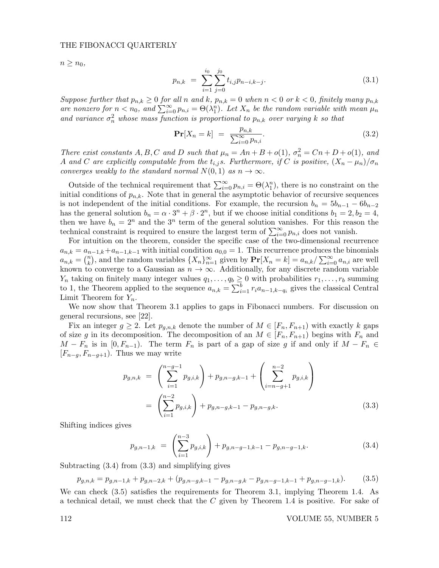$n \geq n_0$ ,

$$
p_{n,k} = \sum_{i=1}^{i_0} \sum_{j=0}^{j_0} t_{i,j} p_{n-i,k-j}.
$$
 (3.1)

Suppose further that  $p_{n,k} \geq 0$  for all n and k,  $p_{n,k} = 0$  when  $n < 0$  or  $k < 0$ , finitely many  $p_{n,k}$ are nonzero for  $n < n_0$ , and  $\sum_{i=0}^{\infty} p_{n,i} = \Theta(\lambda_1^n)$ . Let  $X_n$  be the random variable with mean  $\mu_n$ and variance  $\sigma_n^2$  whose mass function is proportional to  $p_{n,k}$  over varying k so that

$$
\mathbf{Pr}[X_n = k] = \frac{p_{n,k}}{\sum_{i=0}^{\infty} p_{n,i}}.
$$
\n(3.2)

There exist constants A, B, C and D such that  $\mu_n = An + B + o(1)$ ,  $\sigma_n^2 = Cn + D + o(1)$ , and A and C are explicitly computable from the  $t_{i,j}$ s. Furthermore, if C is positive,  $(X_n - \mu_n)/\sigma_n$ converges weakly to the standard normal  $N(0, 1)$  as  $n \to \infty$ .

Outside of the technical requirement that  $\sum_{i=0}^{\infty} p_{n,i} = \Theta(\lambda_1^n)$ , there is no constraint on the initial conditions of  $p_{n,k}$ . Note that in general the asymptotic behavior of recursive sequences is not independent of the initial conditions. For example, the recursion  $b_n = 5b_{n-1} - 6b_{n-2}$ has the general solution  $b_n = \alpha \cdot 3^n + \beta \cdot 2^n$ , but if we choose initial conditions  $b_1 = 2, b_2 = 4$ , then we have  $b_n = 2^n$  and the  $3^n$  term of the general solution vanishes. For this reason the technical constraint is required to ensure the largest term of  $\sum_{i=0}^{\infty} p_{n,i}$  does not vanish.

For intuition on the theorem, consider the specific case of the two-dimensional recurrence  $a_{n,k} = a_{n-1,k} + a_{n-1,k-1}$  with initial condition  $a_{0,0} = 1$ . This recurrence produces the binomials  $a_{n,k} = \binom{n}{k}$  $\mathbb{R}^n_k$ , and the random variables  $\{X_n\}_{n=1}^\infty$  given by  $\mathbf{Pr}[X_n = k] = a_{n,k}/\sum_{i=0}^\infty a_{n,i}$  are well known to converge to a Gaussian as  $n \to \infty$ . Additionally, for any discrete random variable  $Y_n$  taking on finitely many integer values  $q_1, \ldots, q_b \geq 0$  with probabilities  $r_1, \ldots, r_b$  summing to 1, the Theorem applied to the sequence  $a_{n,k} = \sum_{i=1}^{b} r_i a_{n-1,k-q_i}$  gives the classical Central Limit Theorem for  $Y_n$ .

We now show that Theorem 3.1 applies to gaps in Fibonacci numbers. For discussion on general recursions, see [22].

Fix an integer  $g \geq 2$ . Let  $p_{g,n,k}$  denote the number of  $M \in [F_n, F_{n+1})$  with exactly k gaps of size g in its decomposition. The decomposition of an  $M \in [F_n, F_{n+1}]$  begins with  $F_n$  and  $M - F_n$  is in  $[0, F_{n-1})$ . The term  $F_n$  is part of a gap of size g if and only if  $M - F_n \in$  $[F_{n-q}, F_{n-q+1})$ . Thus we may write

$$
p_{g,n,k} = \left(\sum_{i=1}^{n-g-1} p_{g,i,k}\right) + p_{g,n-g,k-1} + \left(\sum_{i=n-g+1}^{n-2} p_{g,i,k}\right)
$$
  
= 
$$
\left(\sum_{i=1}^{n-2} p_{g,i,k}\right) + p_{g,n-g,k-1} - p_{g,n-g,k}.
$$
 (3.3)

Shifting indices gives

$$
p_{g,n-1,k} = \left(\sum_{i=1}^{n-3} p_{g,i,k}\right) + p_{g,n-g-1,k-1} - p_{g,n-g-1,k}.
$$
 (3.4)

Subtracting (3.4) from (3.3) and simplifying gives

$$
p_{g,n,k} = p_{g,n-1,k} + p_{g,n-2,k} + (p_{g,n-g,k-1} - p_{g,n-g,k} - p_{g,n-g-1,k-1} + p_{g,n-g-1,k}).
$$
 (3.5)

We can check (3.5) satisfies the requirements for Theorem 3.1, implying Theorem 1.4. As a technical detail, we must check that the C given by Theorem 1.4 is positive. For sake of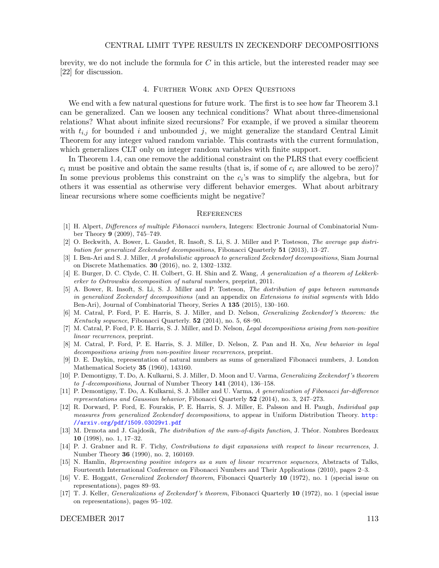brevity, we do not include the formula for  $C$  in this article, but the interested reader may see [22] for discussion.

#### 4. Further Work and Open Questions

We end with a few natural questions for future work. The first is to see how far Theorem 3.1 can be generalized. Can we loosen any technical conditions? What about three-dimensional relations? What about infinite sized recursions? For example, if we proved a similar theorem with  $t_{i,j}$  for bounded i and unbounded j, we might generalize the standard Central Limit Theorem for any integer valued random variable. This contrasts with the current formulation, which generalizes CLT only on integer random variables with finite support.

In Theorem 1.4, can one remove the additional constraint on the PLRS that every coefficient  $c_i$  must be positive and obtain the same results (that is, if some of  $c_i$  are allowed to be zero)? In some previous problems this constraint on the  $c_i$ 's was to simplify the algebra, but for others it was essential as otherwise very different behavior emerges. What about arbitrary linear recursions where some coefficients might be negative?

#### **REFERENCES**

- [1] H. Alpert, Differences of multiple Fibonacci numbers, Integers: Electronic Journal of Combinatorial Number Theory 9 (2009), 745–749.
- [2] O. Beckwith, A. Bower, L. Gaudet, R. Insoft, S. Li, S. J. Miller and P. Tosteson, The average gap distribution for generalized Zeckendorf decompositions, Fibonacci Quarterly 51 (2013), 13–27.
- [3] I. Ben-Ari and S. J. Miller, A probabilistic approach to generalized Zeckendorf decompositions, Siam Journal on Discrete Mathematics. 30 (2016), no. 2, 1302–1332.
- [4] E. Burger, D. C. Clyde, C. H. Colbert, G. H. Shin and Z. Wang, A generalization of a theorem of Lekkerkerker to Ostrowskis decomposition of natural numbers, preprint, 2011.
- [5] A. Bower, R. Insoft, S. Li, S. J. Miller and P. Tosteson, The distribution of gaps between summands in generalized Zeckendorf decompositions (and an appendix on Extensions to initial segments with Iddo Ben-Ari), Journal of Combinatorial Theory, Series A 135 (2015), 130–160.
- [6] M. Catral, P. Ford, P. E. Harris, S. J. Miller, and D. Nelson, Generalizing Zeckendorf 's theorem: the Kentucky sequence, Fibonacci Quarterly. 52 (2014), no. 5, 68–90.
- [7] M. Catral, P. Ford, P. E. Harris, S. J. Miller, and D. Nelson, Legal decompositions arising from non-positive linear recurrences, preprint.
- [8] M. Catral, P. Ford, P. E. Harris, S. J. Miller, D. Nelson, Z. Pan and H. Xu, New behavior in legal decompositions arising from non-positive linear recurrences, preprint.
- [9] D. E. Daykin, representation of natural numbers as sums of generalized Fibonacci numbers, J. London Mathematical Society 35 (1960), 143160.
- [10] P. Demontigny, T. Do, A. Kulkarni, S. J. Miller, D. Moon and U. Varma, Generalizing Zeckendorf 's theorem to f-decompositions, Journal of Number Theory 141 (2014), 136–158.
- [11] P. Demontigny, T. Do, A. Kulkarni, S. J. Miller and U. Varma, A generalization of Fibonacci far-difference representations and Gaussian behavior, Fibonacci Quarterly 52 (2014), no. 3, 247–273.
- [12] R. Dorward, P. Ford, E. Fourakis, P. E. Harris, S. J. Miller, E. Palsson and H. Paugh, Individual gap measures from generalized Zeckendorf decompositions, to appear in Uniform Distribution Theory. http: //arxiv.org/pdf/1509.03029v1.pdf
- [13] M. Drmota and J. Gajdosik, The distribution of the sum-of-digits function, J. Théor. Nombres Bordeaux 10 (1998), no. 1, 17–32.
- [14] P. J. Grabner and R. F. Tichy, Contributions to digit expansions with respect to linear recurrences, J. Number Theory 36 (1990), no. 2, 160169.
- [15] N. Hamlin, Representing positive integers as a sum of linear recurrence sequences, Abstracts of Talks, Fourteenth International Conference on Fibonacci Numbers and Their Applications (2010), pages 2–3.
- [16] V. E. Hoggatt, Generalized Zeckendorf theorem, Fibonacci Quarterly 10 (1972), no. 1 (special issue on representations), pages 89–93.
- [17] T. J. Keller, *Generalizations of Zeckendorf's theorem*, Fibonacci Quarterly 10 (1972), no. 1 (special issue on representations), pages 95–102.